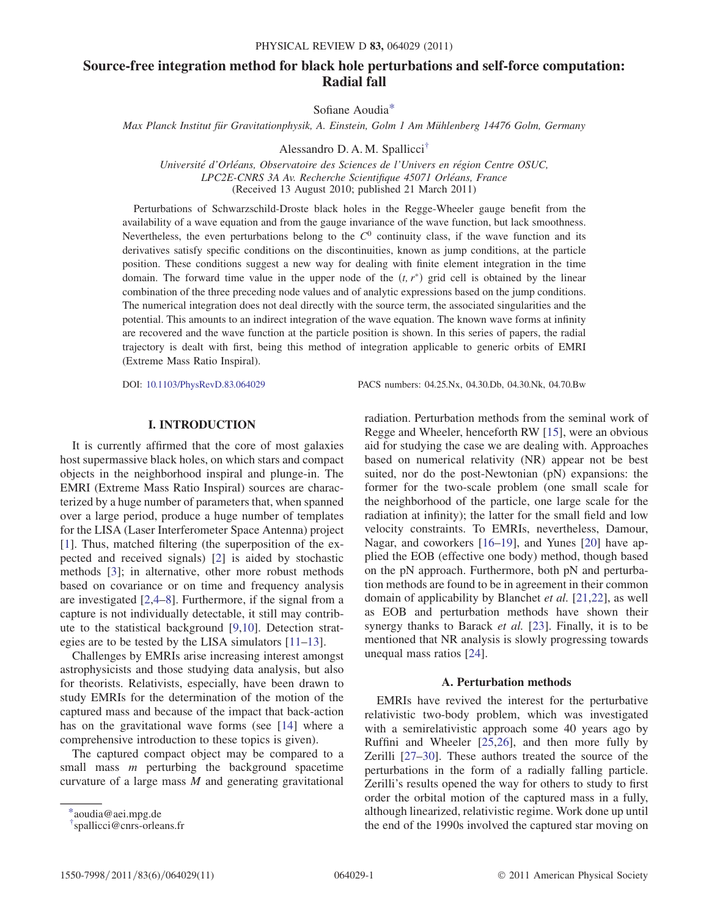# <span id="page-0-2"></span>Source-free integration method for black hole perturbations and self-force computation: Radial fall

Sofiane Aoudia[\\*](#page-0-0)

<span id="page-0-3"></span>Max Planck Institut für Gravitationphysik, A. Einstein, Golm 1 Am Mühlenberg 14476 Golm, Germany

Alessandro D. A. M. Spallicci[†](#page-0-1)

Université d'Orléans, Observatoire des Sciences de l'Univers en région Centre OSUC, LPC2E-CNRS 3A Av. Recherche Scientifique 45071 Orléans, France (Received 13 August 2010; published 21 March 2011)

Perturbations of Schwarzschild-Droste black holes in the Regge-Wheeler gauge benefit from the availability of a wave equation and from the gauge invariance of the wave function, but lack smoothness. Nevertheless, the even perturbations belong to the  $C<sup>0</sup>$  continuity class, if the wave function and its derivatives satisfy specific conditions on the discontinuities, known as jump conditions, at the particle position. These conditions suggest a new way for dealing with finite element integration in the time domain. The forward time value in the upper node of the  $(t, r^*)$  grid cell is obtained by the linear combination of the three preceding node values and of analytic expressions based on the jump conditions. The numerical integration does not deal directly with the source term, the associated singularities and the potential. This amounts to an indirect integration of the wave equation. The known wave forms at infinity are recovered and the wave function at the particle position is shown. In this series of papers, the radial trajectory is dealt with first, being this method of integration applicable to generic orbits of EMRI (Extreme Mass Ratio Inspiral).

DOI: [10.1103/PhysRevD.83.064029](http://dx.doi.org/10.1103/PhysRevD.83.064029) PACS numbers: 04.25.Nx, 04.30.Db, 04.30.Nk, 04.70.Bw

# I. INTRODUCTION

It is currently affirmed that the core of most galaxies host supermassive black holes, on which stars and compact objects in the neighborhood inspiral and plunge-in. The EMRI (Extreme Mass Ratio Inspiral) sources are characterized by a huge number of parameters that, when spanned over a large period, produce a huge number of templates for the LISA (Laser Interferometer Space Antenna) project [\[1\]](#page-9-0). Thus, matched filtering (the superposition of the expected and received signals) [\[2\]](#page-9-1) is aided by stochastic methods [[3](#page-9-2)]; in alternative, other more robust methods based on covariance or on time and frequency analysis are investigated [[2,](#page-9-1)[4–](#page-9-3)[8](#page-9-4)]. Furthermore, if the signal from a capture is not individually detectable, it still may contribute to the statistical background [\[9](#page-9-5)[,10](#page-9-6)]. Detection strategies are to be tested by the LISA simulators [[11](#page-9-7)[–13\]](#page-9-8).

Challenges by EMRIs arise increasing interest amongst astrophysicists and those studying data analysis, but also for theorists. Relativists, especially, have been drawn to study EMRIs for the determination of the motion of the captured mass and because of the impact that back-action has on the gravitational wave forms (see [\[14](#page-9-9)] where a comprehensive introduction to these topics is given).

The captured compact object may be compared to a small mass  $m$  perturbing the background spacetime curvature of a large mass  $M$  and generating gravitational

radiation. Perturbation methods from the seminal work of Regge and Wheeler, henceforth RW [\[15\]](#page-9-10), were an obvious aid for studying the case we are dealing with. Approaches based on numerical relativity (NR) appear not be best suited, nor do the post-Newtonian (pN) expansions: the former for the two-scale problem (one small scale for the neighborhood of the particle, one large scale for the radiation at infinity); the latter for the small field and low velocity constraints. To EMRIs, nevertheless, Damour, Nagar, and coworkers [[16](#page-9-11)[–19\]](#page-9-12), and Yunes [\[20\]](#page-9-13) have applied the EOB (effective one body) method, though based on the pN approach. Furthermore, both pN and perturbation methods are found to be in agreement in their common domain of applicability by Blanchet et al. [[21](#page-9-14),[22](#page-9-15)], as well as EOB and perturbation methods have shown their synergy thanks to Barack et al. [\[23](#page-9-16)]. Finally, it is to be mentioned that NR analysis is slowly progressing towards unequal mass ratios [[24](#page-9-17)].

# A. Perturbation methods

EMRIs have revived the interest for the perturbative relativistic two-body problem, which was investigated with a semirelativistic approach some 40 years ago by Ruffini and Wheeler [\[25](#page-9-18)[,26\]](#page-9-19), and then more fully by Zerilli [\[27–](#page-9-20)[30\]](#page-9-21). These authors treated the source of the perturbations in the form of a radially falling particle. Zerilli's results opened the way for others to study to first order the orbital motion of the captured mass in a fully, although linearized, relativistic regime. Work done up until the end of the 1990s involved the captured star moving on

<span id="page-0-0"></span>[<sup>\\*</sup>a](#page-0-2)oudia@aei.mpg.de

<span id="page-0-1"></span>[<sup>†</sup>](#page-0-3) spallicci@cnrs-orleans.fr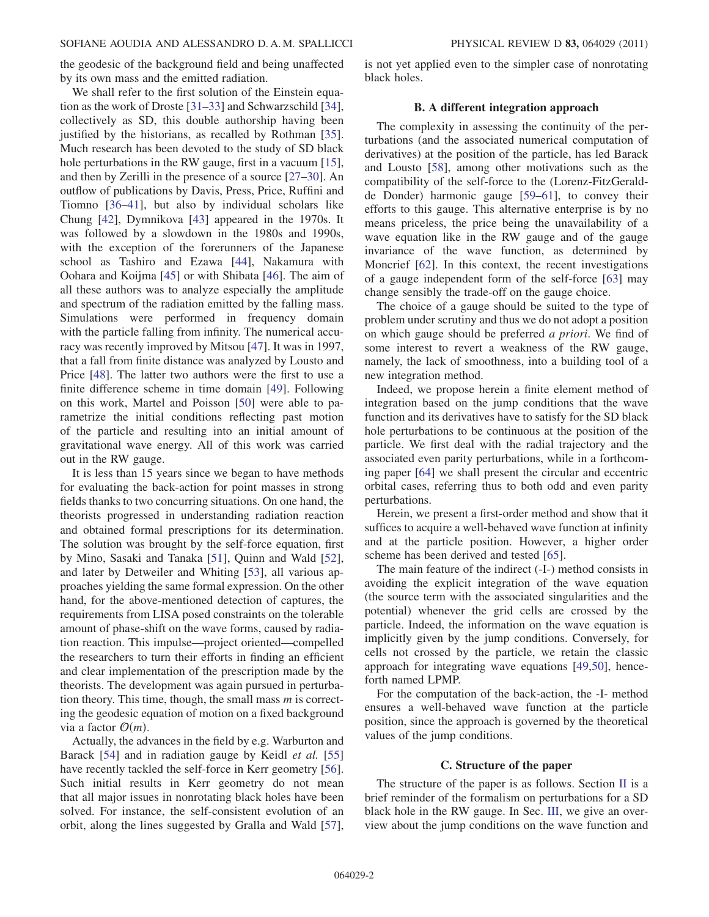the geodesic of the background field and being unaffected by its own mass and the emitted radiation.

We shall refer to the first solution of the Einstein equation as the work of Droste [[31](#page-9-22)[–33\]](#page-10-0) and Schwarzschild [[34\]](#page-10-1), collectively as SD, this double authorship having been justified by the historians, as recalled by Rothman [\[35\]](#page-10-2). Much research has been devoted to the study of SD black hole perturbations in the RW gauge, first in a vacuum [[15\]](#page-9-10), and then by Zerilli in the presence of a source [[27](#page-9-20)[–30\]](#page-9-21). An outflow of publications by Davis, Press, Price, Ruffini and Tiomno [[36](#page-10-3)[–41\]](#page-10-4), but also by individual scholars like Chung [\[42](#page-10-5)], Dymnikova [[43](#page-10-6)] appeared in the 1970s. It was followed by a slowdown in the 1980s and 1990s, with the exception of the forerunners of the Japanese school as Tashiro and Ezawa [\[44\]](#page-10-7), Nakamura with Oohara and Koijma [[45](#page-10-8)] or with Shibata [\[46\]](#page-10-9). The aim of all these authors was to analyze especially the amplitude and spectrum of the radiation emitted by the falling mass. Simulations were performed in frequency domain with the particle falling from infinity. The numerical accuracy was recently improved by Mitsou [\[47\]](#page-10-10). It was in 1997, that a fall from finite distance was analyzed by Lousto and Price [[48](#page-10-11)]. The latter two authors were the first to use a finite difference scheme in time domain [[49](#page-10-12)]. Following on this work, Martel and Poisson [\[50\]](#page-10-13) were able to parametrize the initial conditions reflecting past motion of the particle and resulting into an initial amount of gravitational wave energy. All of this work was carried out in the RW gauge.

It is less than 15 years since we began to have methods for evaluating the back-action for point masses in strong fields thanks to two concurring situations. On one hand, the theorists progressed in understanding radiation reaction and obtained formal prescriptions for its determination. The solution was brought by the self-force equation, first by Mino, Sasaki and Tanaka [\[51\]](#page-10-14), Quinn and Wald [\[52\]](#page-10-15), and later by Detweiler and Whiting [\[53\]](#page-10-16), all various approaches yielding the same formal expression. On the other hand, for the above-mentioned detection of captures, the requirements from LISA posed constraints on the tolerable amount of phase-shift on the wave forms, caused by radiation reaction. This impulse—project oriented—compelled the researchers to turn their efforts in finding an efficient and clear implementation of the prescription made by the theorists. The development was again pursued in perturbation theory. This time, though, the small mass  $m$  is correcting the geodesic equation of motion on a fixed background via a factor  $O(m)$ .

Actually, the advances in the field by e.g. Warburton and Barack [\[54\]](#page-10-17) and in radiation gauge by Keidl *et al.* [\[55\]](#page-10-18) have recently tackled the self-force in Kerr geometry [[56\]](#page-10-19). Such initial results in Kerr geometry do not mean that all major issues in nonrotating black holes have been solved. For instance, the self-consistent evolution of an orbit, along the lines suggested by Gralla and Wald [\[57\]](#page-10-20), is not yet applied even to the simpler case of nonrotating black holes.

# B. A different integration approach

The complexity in assessing the continuity of the perturbations (and the associated numerical computation of derivatives) at the position of the particle, has led Barack and Lousto [[58](#page-10-21)], among other motivations such as the compatibility of the self-force to the (Lorenz-FitzGeraldde Donder) harmonic gauge [\[59–](#page-10-22)[61](#page-10-23)], to convey their efforts to this gauge. This alternative enterprise is by no means priceless, the price being the unavailability of a wave equation like in the RW gauge and of the gauge invariance of the wave function, as determined by Moncrief [\[62\]](#page-10-24). In this context, the recent investigations of a gauge independent form of the self-force [[63](#page-10-25)] may change sensibly the trade-off on the gauge choice.

The choice of a gauge should be suited to the type of problem under scrutiny and thus we do not adopt a position on which gauge should be preferred a priori. We find of some interest to revert a weakness of the RW gauge, namely, the lack of smoothness, into a building tool of a new integration method.

Indeed, we propose herein a finite element method of integration based on the jump conditions that the wave function and its derivatives have to satisfy for the SD black hole perturbations to be continuous at the position of the particle. We first deal with the radial trajectory and the associated even parity perturbations, while in a forthcoming paper [[64](#page-10-26)] we shall present the circular and eccentric orbital cases, referring thus to both odd and even parity perturbations.

Herein, we present a first-order method and show that it suffices to acquire a well-behaved wave function at infinity and at the particle position. However, a higher order scheme has been derived and tested [[65](#page-10-27)].

The main feature of the indirect (-I-) method consists in avoiding the explicit integration of the wave equation (the source term with the associated singularities and the potential) whenever the grid cells are crossed by the particle. Indeed, the information on the wave equation is implicitly given by the jump conditions. Conversely, for cells not crossed by the particle, we retain the classic approach for integrating wave equations [\[49,](#page-10-12)[50\]](#page-10-13), henceforth named LPMP.

For the computation of the back-action, the -I- method ensures a well-behaved wave function at the particle position, since the approach is governed by the theoretical values of the jump conditions.

#### C. Structure of the paper

The structure of the paper is as follows. Section  $\Pi$  is a brief reminder of the formalism on perturbations for a SD black hole in the RW gauge. In Sec. [III](#page-3-0), we give an overview about the jump conditions on the wave function and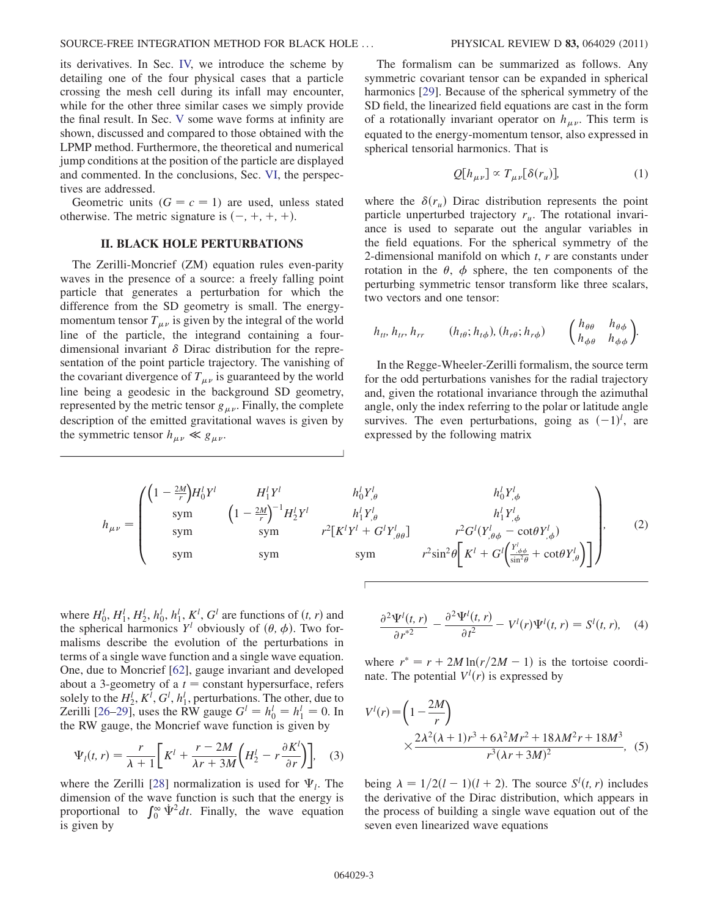its derivatives. In Sec. [IV,](#page-5-0) we introduce the scheme by detailing one of the four physical cases that a particle crossing the mesh cell during its infall may encounter, while for the other three similar cases we simply provide the final result. In Sec. [V](#page-6-0) some wave forms at infinity are shown, discussed and compared to those obtained with the LPMP method. Furthermore, the theoretical and numerical jump conditions at the position of the particle are displayed and commented. In the conclusions, Sec. [VI,](#page-9-23) the perspectives are addressed.

Geometric units  $(G = c = 1)$  are used, unless stated otherwise. The metric signature is  $(-, +, +, +)$ .

#### II. BLACK HOLE PERTURBATIONS

The Zerilli-Moncrief (ZM) equation rules even-parity waves in the presence of a source: a freely falling point particle that generates a perturbation for which the difference from the SD geometry is small. The energymomentum tensor  $T_{\mu\nu}$  is given by the integral of the world line of the particle, the integrand containing a fourdimensional invariant  $\delta$  Dirac distribution for the representation of the point particle trajectory. The vanishing of the covariant divergence of  $T_{\mu\nu}$  is guaranteed by the world line being a geodesic in the background SD geometry, represented by the metric tensor  $g_{\mu\nu}$ . Finally, the complete description of the emitted gravitational waves is given by the symmetric tensor  $h_{\mu\nu} \ll g_{\mu\nu}$ .

The formalism can be summarized as follows. Any symmetric covariant tensor can be expanded in spherical harmonics [\[29](#page-9-24)]. Because of the spherical symmetry of the SD field, the linearized field equations are cast in the form of a rotationally invariant operator on  $h_{\mu\nu}$ . This term is equated to the energy-momentum tensor, also expressed in spherical tensorial harmonics. That is

$$
Q[h_{\mu\nu}] \propto T_{\mu\nu}[\delta(r_u)],\tag{1}
$$

where the  $\delta(r_u)$  Dirac distribution represents the point particle unperturbed trajectory  $r_u$ . The rotational invariance is used to separate out the angular variables in the field equations. For the spherical symmetry of the 2-dimensional manifold on which  $t$ ,  $r$  are constants under rotation in the  $\theta$ ,  $\phi$  sphere, the ten components of the perturbing symmetric tensor transform like three scalars, two vectors and one tensor:

<span id="page-2-0"></span>
$$
h_{tt}, h_{tr}, h_{rr} \qquad (h_{t\theta}; h_{t\phi}), (h_{r\theta}; h_{r\phi}) \qquad \begin{pmatrix} h_{\theta\theta} & h_{\theta\phi} \\ h_{\phi\theta} & h_{\phi\phi} \end{pmatrix}.
$$

In the Regge-Wheeler-Zerilli formalism, the source term for the odd perturbations vanishes for the radial trajectory and, given the rotational invariance through the azimuthal angle, only the index referring to the polar or latitude angle survives. The even perturbations, going as  $(-1)^l$ , are<br>expressed by the following matrix expressed by the following matrix

$$
h_{\mu\nu} = \begin{pmatrix} \left(1 - \frac{2M}{r}\right)H_0^l Y^l & H_1^l Y^l & h_0^l Y^l_{,\theta} & h_0^l Y^l_{,\phi} \\ \text{sym} & \left(1 - \frac{2M}{r}\right)^{-1}H_2^l Y^l & h_1^l Y^l_{,\theta} & h_1^l Y^l_{,\phi} \\ \text{sym} & \text{sym} & r^2 [K^l Y^l + G^l Y^l_{,\theta\theta}] & r^2 G^l (Y^l_{,\theta\phi} - \cot\theta Y^l_{,\phi}) \\ \text{sym} & \text{sym} & r^2 \sin^2\theta \left[K^l + G^l \left(\frac{Y^l_{,\phi\phi}}{\sin^2\theta} + \cot\theta Y^l_{,\theta}\right)\right] \end{pmatrix}, \quad (2)
$$

where  $H_0^1, H_1^1, H_2^1, h_0^1, h_1^1, K^1, G^1$  are functions of  $(t, r)$  and<br>the spherical harmonics  $Y^l$  obviously of  $(\theta, \phi)$ . Two forthe spherical harmonics  $Y^l$  obviously of  $(\theta, \phi)$ . Two formalisms describe the evolution of the perturbations in terms of a single wave function and a single wave equation. One, due to Moncrief [\[62\]](#page-10-24), gauge invariant and developed about a 3-geometry of a  $t = constant$  hypersurface, refers solely to the  $H_2^l$ ,  $K^l$ ,  $G^l$ ,  $h_1^l$ , perturbations. The other, due to Zerilli [[26](#page-9-19)[–29\]](#page-9-24), uses the RW gauge  $G^l = h_0^l = h_1^l = 0$ . In the RW gauge, the Moncrief wave function is given by the RW gauge, the Moncrief wave function is given by

$$
\Psi_l(t,r) = \frac{r}{\lambda + 1} \left[ K^l + \frac{r - 2M}{\lambda r + 3M} \left( H_2^l - r \frac{\partial K^l}{\partial r} \right) \right], \quad (3)
$$

where the Zerilli [\[28](#page-9-25)] normalization is used for  $\Psi_l$ . The dimension of the wave function is such that the energy is proportional to  $\int_0^\infty \dot{\Psi}^2 dt$ . Finally, the wave equation is given by

<span id="page-2-1"></span>
$$
\frac{\partial^2 \Psi^l(t,r)}{\partial r^{*2}} - \frac{\partial^2 \Psi^l(t,r)}{\partial t^2} - V^l(r)\Psi^l(t,r) = S^l(t,r), \quad (4)
$$

where  $r^* = r + 2M \ln(r/2M - 1)$  is the tortoise coordinate. The potential  $V^l(r)$  is expressed by nate. The potential  $V^l(r)$  is expressed by

$$
V^{l}(r) = \left(1 - \frac{2M}{r}\right)
$$
  
 
$$
\times \frac{2\lambda^{2}(\lambda + 1)r^{3} + 6\lambda^{2}Mr^{2} + 18\lambda M^{2}r + 18M^{3}}{r^{3}(\lambda r + 3M)^{2}},
$$
 (5)

being  $\lambda = 1/2(l - 1)(l + 2)$ . The source  $S^l(t, r)$  includes the derivative of the Dirac distribution, which appears in the derivative of the Dirac distribution, which appears in the process of building a single wave equation out of the seven even linearized wave equations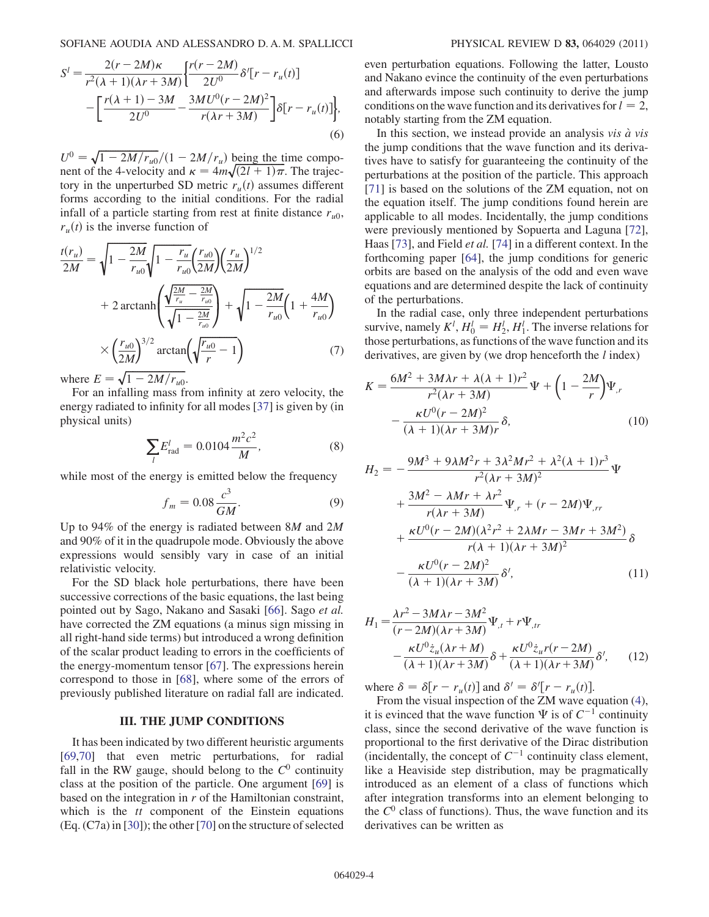<sup>2</sup>MÞ

$$
S^{l} = \frac{2(r - 2M)\kappa}{r^{2}(\lambda + 1)(\lambda r + 3M)} \left\{ \frac{r(r - 2M)}{2U^{0}} \delta^{l}[r - r_{u}(t)] - \left[ \frac{r(\lambda + 1) - 3M}{2U^{0}} - \frac{3MU^{0}(r - 2M)^{2}}{r(\lambda r + 3M)} \right] \delta[r - r_{u}(t)] \right\},
$$
\n(6)

 $U^0 = \sqrt{1 - 2M/r_{u0}}/(1 - 2M/r_u)$  being the time component of the 4-velocity and  $\kappa = 4m\sqrt{(2l+1)\pi}$ . The trajection nent of the 4-velocity and  $\kappa = 4m\sqrt{(2l+1)\pi}$ . The trajectory in the unperturbed SD metric  $r_1(t)$  assumes different tory in the unperturbed SD metric  $r_u(t)$  assumes different forms according to the initial conditions. For the radial infall of a particle starting from rest at finite distance  $r_{u0}$ ,  $r<sub>u</sub>(t)$  is the inverse function of

$$
\frac{t(r_u)}{2M} = \sqrt{1 - \frac{2M}{r_{u0}}} \sqrt{1 - \frac{r_u}{r_{u0}}} \left(\frac{r_{u0}}{2M}\right) \left(\frac{r_u}{2M}\right)^{1/2} + 2 \arctanh\left(\frac{\sqrt{\frac{2M}{r_u} - \frac{2M}{r_{u0}}}}{\sqrt{1 - \frac{2M}{r_{u0}}}}\right) + \sqrt{1 - \frac{2M}{r_{u0}}} \left(1 + \frac{4M}{r_{u0}}\right) \times \left(\frac{r_{u0}}{2M}\right)^{3/2} \arctan\left(\sqrt{\frac{r_{u0}}{r}} - 1\right) \tag{7}
$$

where  $E = \sqrt{1 - 2M/r_{u0}}$ .<br>For an infalling mass fr

For an infalling mass from infinity at zero velocity, the energy radiated to infinity for all modes [\[37](#page-10-28)] is given by (in physical units)

$$
\sum_{l} E_{\text{rad}}^{l} = 0.0104 \frac{m^2 c^2}{M},\tag{8}
$$

while most of the energy is emitted below the frequency

$$
f_m = 0.08 \frac{c^3}{GM}.\tag{9}
$$

Up to 94% of the energy is radiated between 8M and 2M and 90% of it in the quadrupole mode. Obviously the above expressions would sensibly vary in case of an initial relativistic velocity.

For the SD black hole perturbations, there have been successive corrections of the basic equations, the last being pointed out by Sago, Nakano and Sasaki [[66](#page-10-29)]. Sago et al. have corrected the ZM equations (a minus sign missing in all right-hand side terms) but introduced a wrong definition of the scalar product leading to errors in the coefficients of the energy-momentum tensor [\[67\]](#page-10-30). The expressions herein correspond to those in [\[68\]](#page-10-31), where some of the errors of previously published literature on radial fall are indicated.

#### III. THE JUMP CONDITIONS

<span id="page-3-0"></span>It has been indicated by two different heuristic arguments [\[69](#page-10-32)[,70\]](#page-10-33) that even metric perturbations, for radial fall in the RW gauge, should belong to the  $C^0$  continuity class at the position of the particle. One argument [[69](#page-10-32)] is based on the integration in  $r$  of the Hamiltonian constraint, which is the *tt* component of the Einstein equations (Eq. (C7a) in [\[30](#page-9-21)]); the other [[70](#page-10-33)] on the structure of selected even perturbation equations. Following the latter, Lousto and Nakano evince the continuity of the even perturbations and afterwards impose such continuity to derive the jump conditions on the wave function and its derivatives for  $l = 2$ , notably starting from the ZM equation.

In this section, we instead provide an analysis vis  $\dot{a}$  vis the jump conditions that the wave function and its derivatives have to satisfy for guaranteeing the continuity of the perturbations at the position of the particle. This approach [\[71\]](#page-10-34) is based on the solutions of the ZM equation, not on the equation itself. The jump conditions found herein are applicable to all modes. Incidentally, the jump conditions were previously mentioned by Sopuerta and Laguna [[72\]](#page-10-35), Haas [[73](#page-10-36)], and Field et al. [\[74\]](#page-10-37) in a different context. In the forthcoming paper [[64](#page-10-26)], the jump conditions for generic orbits are based on the analysis of the odd and even wave equations and are determined despite the lack of continuity of the perturbations.

In the radial case, only three independent perturbations survive, namely  $K^l$ ,  $H_0^l = H_2^l$ ,  $H_1^l$ . The inverse relations for those perturbations as functions of the wave function and its those perturbations, as functions of the wave function and its derivatives, are given by (we drop henceforth the  $l$  index)

$$
K = \frac{6M^2 + 3M\lambda r + \lambda(\lambda + 1)r^2}{r^2(\lambda r + 3M)}\Psi + \left(1 - \frac{2M}{r}\right)\Psi_{,r}
$$

$$
-\frac{\kappa U^0(r - 2M)^2}{(\lambda + 1)(\lambda r + 3M)r}\delta,
$$
(10)

<span id="page-3-2"></span>
$$
H_2 = -\frac{9M^3 + 9\lambda M^2r + 3\lambda^2Mr^2 + \lambda^2(\lambda + 1)r^3}{r^2(\lambda r + 3M)^2} \Psi + \frac{3M^2 - \lambda Mr + \lambda r^2}{r(\lambda r + 3M)} \Psi_{,r} + (r - 2M)\Psi_{,rr} + \frac{\kappa U^0(r - 2M)(\lambda^2r^2 + 2\lambda Mr - 3Mr + 3M^2)}{r(\lambda + 1)(\lambda r + 3M)^2} \delta - \frac{\kappa U^0(r - 2M)^2}{(\lambda + 1)(\lambda r + 3M)} \delta',
$$
(11)

$$
H_1 = \frac{\lambda r^2 - 3M\lambda r - 3M^2}{(r - 2M)(\lambda r + 3M)} \Psi_{,t} + r\Psi_{,tr}
$$

$$
- \frac{\kappa U^0 \dot{z}_u (\lambda r + M)}{(\lambda + 1)(\lambda r + 3M)} \delta + \frac{\kappa U^0 \dot{z}_u r(r - 2M)}{(\lambda + 1)(\lambda r + 3M)} \delta', \qquad (12)
$$

<span id="page-3-1"></span>where  $\delta = \delta[r - r_u(t)]$  and  $\delta' = \delta'[r - r_u(t)]$ .<br>From the visual inspection of the ZM wave equals

From the visual inspection of the ZM wave equation ([4\)](#page-2-1), it is evinced that the wave function  $\Psi$  is of  $C^{-1}$  continuity class, since the second derivative of the wave function is proportional to the first derivative of the Dirac distribution (incidentally, the concept of  $C^{-1}$  continuity class element, like a Heaviside step distribution, may be pragmatically introduced as an element of a class of functions which after integration transforms into an element belonging to the  $C<sup>0</sup>$  class of functions). Thus, the wave function and its derivatives can be written as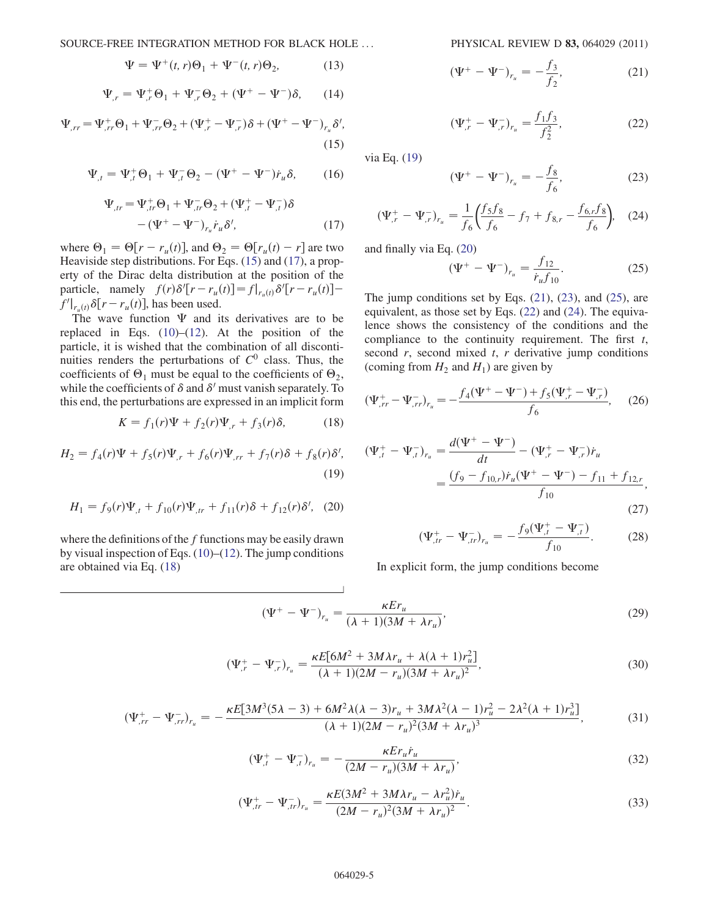<span id="page-4-0"></span>SOURCE-FREE INTEGRATION METHOD FOR BLACK HOLE ... PHYSICAL REVIEW D 83, 064029 (2011)

$$
\Psi = \Psi^+(t, r)\Theta_1 + \Psi^-(t, r)\Theta_2, \tag{13}
$$

$$
\Psi_{,r} = \Psi_{,r}^+ \Theta_1 + \Psi_{,r}^- \Theta_2 + (\Psi^+ - \Psi^-)\delta, \qquad (14)
$$

$$
\Psi_{,rr} = \Psi_{,rr}^+ \Theta_1 + \Psi_{,rr}^- \Theta_2 + (\Psi_{,r}^+ - \Psi_{,r}^-) \delta + (\Psi^+ - \Psi^-)_{r_u} \delta',
$$
\n(15)

<span id="page-4-1"></span>
$$
\Psi_{,t} = \Psi_{,t}^+ \Theta_1 + \Psi_{,t}^- \Theta_2 - (\Psi^+ - \Psi^-) \dot{r}_u \delta, \qquad (16)
$$

$$
\Psi_{,tr} = \Psi_{,tr}^+ \Theta_1 + \Psi_{,tr}^- \Theta_2 + (\Psi_{,t}^+ - \Psi_{,t}^-) \delta
$$
  
 
$$
-(\Psi^+ - \Psi^-)_{r_u} \dot{r}_u \delta', \tag{17}
$$

where  $\Theta_1 = \Theta[r - r_u(t)]$ , and  $\Theta_2 = \Theta[r_u(t) - r]$  are two<br>Heaviside step distributions. For Eqs. (15) and (17), a prop-Heaviside step distributions. For Eqs. ([15](#page-4-0)) and ([17](#page-4-1)), a property of the Dirac delta distribution at the position of the particle, namely  $f(r)\delta'[r-r_u(t)] = f|_{r_u(t)}\delta'[r-r_u(t)] -$ <br> $f'|_{u \in \delta[r-r_u(t)]}$  has been used  $f'|_{r_u(t)} \delta[r - r_u(t)]$ , has been used.<br>The wave function W and if

The wave function  $\Psi$  and its derivatives are to be replaced in Eqs.  $(10)$  $(10)$  $(10)$ – $(12)$ . At the position of the particle, it is wished that the combination of all discontinuities renders the perturbations of  $C^0$  class. Thus, the coefficients of  $\Theta_1$  must be equal to the coefficients of  $\Theta_2$ , while the coefficients of  $\delta$  and  $\delta'$  must vanish separately. To this end, the perturbations are expressed in an implicit form

$$
K = f_1(r)\Psi + f_2(r)\Psi_{,r} + f_3(r)\delta,
$$
 (18)

<span id="page-4-4"></span><span id="page-4-3"></span>
$$
H_2 = f_4(r)\Psi + f_5(r)\Psi_{,r} + f_6(r)\Psi_{,rr} + f_7(r)\delta + f_8(r)\delta',
$$
\n(19)

$$
H_1 = f_9(r)\Psi_{,t} + f_{10}(r)\Psi_{,tr} + f_{11}(r)\delta + f_{12}(r)\delta', \tag{20}
$$

<span id="page-4-2"></span>where the definitions of the  $f$  functions may be easily drawn by visual inspection of Eqs.  $(10)$  $(10)$  $(10)$ – $(12)$ . The jump conditions are obtained via Eq. ([18](#page-4-2))

<span id="page-4-8"></span>
$$
(\Psi^+ - \Psi^-)_{r_u} = -\frac{f_3}{f_2},\tag{21}
$$

$$
(\Psi_{,r}^{+} - \Psi_{,r}^{-})_{r_u} = \frac{f_1 f_3}{f_2^2},
$$
\n(22)

<span id="page-4-9"></span><span id="page-4-5"></span>via Eq. ([19](#page-4-3))

$$
(\Psi^+ - \Psi^-)_{r_u} = -\frac{f_8}{f_6},\tag{23}
$$

$$
(\Psi_{,r}^{+} - \Psi_{,r}^{-})_{r_u} = \frac{1}{f_6} \left( \frac{f_5 f_8}{f_6} - f_7 + f_{8,r} - \frac{f_{6,r} f_8}{f_6} \right), \quad (24)
$$

<span id="page-4-7"></span><span id="page-4-6"></span>and finally via Eq. ([20](#page-4-4))

$$
(\Psi^+ - \Psi^-)_{r_u} = \frac{f_{12}}{\dot{r}_u f_{10}}.
$$
 (25)

The jump conditions set by Eqs.  $(21)$ ,  $(23)$  $(23)$  $(23)$ , and  $(25)$ , are equivalent, as those set by Eqs. [\(22\)](#page-4-8) and ([24\)](#page-4-9). The equivalence shows the consistency of the conditions and the compliance to the continuity requirement. The first  $t$ , second  $r$ , second mixed  $t$ ,  $r$  derivative jump conditions (coming from  $H_2$  and  $H_1$ ) are given by

$$
(\Psi_{,rr}^{+} - \Psi_{,rr}^{-})_{r_u} = -\frac{f_4(\Psi^{+} - \Psi^{-}) + f_5(\Psi_{,r}^{+} - \Psi_{,r}^{-})}{f_6},\qquad(26)
$$

$$
(\Psi_{,t}^{+} - \Psi_{,t}^{-})_{r_u} = \frac{d(\Psi^{+} - \Psi^{-})}{dt} - (\Psi_{,r}^{+} - \Psi_{,r}^{-})\dot{r}_u
$$
  
= 
$$
\frac{(f_9 - f_{10,r})\dot{r}_u(\Psi^{+} - \Psi^{-}) - f_{11} + f_{12,r}}{f_{10}},
$$
(27)

$$
(\Psi_{,tr}^{+} - \Psi_{,tr}^{-})_{r_u} = -\frac{f_9(\Psi_{,t}^{+} - \Psi_{,t}^{-})}{f_{10}}.
$$
 (28)

In explicit form, the jump conditions become

$$
\overline{(\Psi^+ - \Psi^-)_{r_u}} = \frac{\kappa E r_u}{(\lambda + 1)(3M + \lambda r_u)},\tag{29}
$$

$$
(\Psi_{,r}^{+} - \Psi_{,r}^{-})_{r_u} = \frac{\kappa E[6M^2 + 3M\lambda r_u + \lambda(\lambda + 1)r_u^2]}{(\lambda + 1)(2M - r_u)(3M + \lambda r_u)^2},
$$
\n(30)

<span id="page-4-10"></span>
$$
(\Psi_{,rr}^{+} - \Psi_{,rr}^{-})_{r_u} = -\frac{\kappa E[3M^3(5\lambda - 3) + 6M^2\lambda(\lambda - 3)r_u + 3M\lambda^2(\lambda - 1)r_u^2 - 2\lambda^2(\lambda + 1)r_u^3]}{(\lambda + 1)(2M - r_u)^2(3M + \lambda r_u)^3},
$$
(31)

$$
(\Psi_{,t}^{+} - \Psi_{,t}^{-})_{r_u} = -\frac{\kappa E r_u \dot{r}_u}{(2M - r_u)(3M + \lambda r_u)},
$$
\n(32)

$$
(\Psi_{,tr}^{+} - \Psi_{,tr}^{-})_{r_u} = \frac{\kappa E(3M^2 + 3M\lambda r_u - \lambda r_u^2)\dot{r}_u}{(2M - r_u)^2(3M + \lambda r_u)^2}.
$$
\n(33)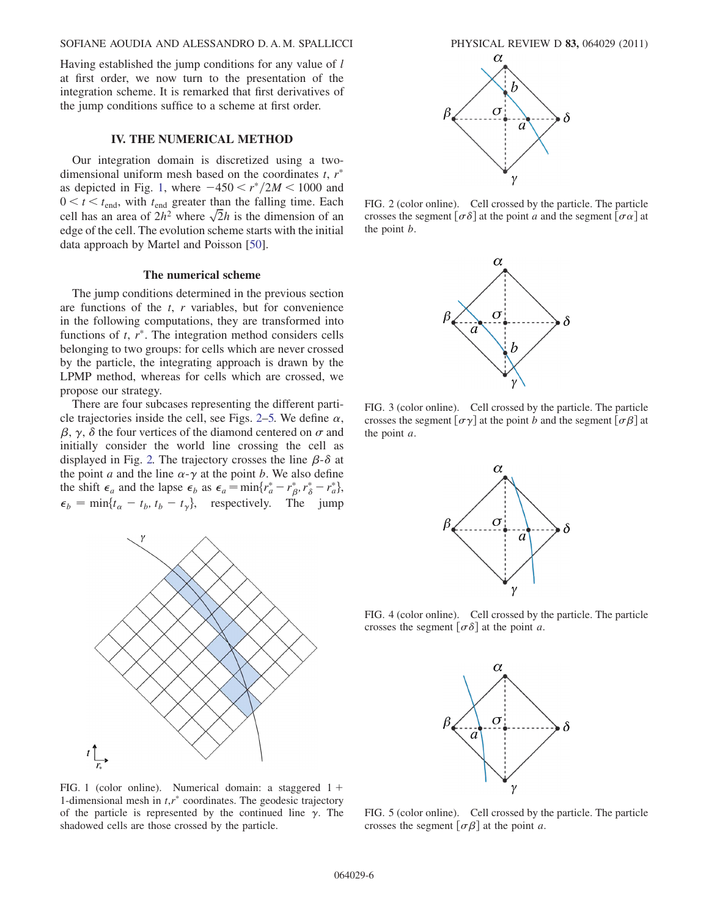#### SOFIANE AOUDIA AND ALESSANDRO D. A. M. SPALLICCI PHYSICAL REVIEW D 83, 064029 (2011)

Having established the jump conditions for any value of l at first order, we now turn to the presentation of the integration scheme. It is remarked that first derivatives of the jump conditions suffice to a scheme at first order.

# IV. THE NUMERICAL METHOD

<span id="page-5-0"></span>Our integration domain is discretized using a twodimensional uniform mesh based on the coordinates  $t, r^*$ as depicted in Fig. [1,](#page-5-1) where  $-450 \lt r^*/2M \lt 1000$  and  $0 \lt t \lt t$ , with t, greater than the falling time. Each  $0 < t < t_{\text{end}}$ , with  $t_{\text{end}}$  greater than the falling time. Each cell has an area of  $2h^2$  where  $\sqrt{2}h$  is the dimension of an edge of the cell. The evolution scheme starts with the initial data approach by Martel and Poisson [[50](#page-10-13)].

#### The numerical scheme

The jump conditions determined in the previous section are functions of the  $t$ ,  $r$  variables, but for convenience in the following computations, they are transformed into functions of  $t$ ,  $r^*$ . The integration method considers cells belonging to two groups: for cells which are never crossed by the particle, the integrating approach is drawn by the LPMP method, whereas for cells which are crossed, we propose our strategy.

There are four subcases representing the different parti-cle trajectories inside the cell, see Figs. [2](#page-5-2)–[5.](#page-5-3) We define  $\alpha$ ,  $\beta$ ,  $\gamma$ ,  $\delta$  the four vertices of the diamond centered on  $\sigma$  and initially consider the world line crossing the cell as displayed in Fig. [2.](#page-5-2) The trajectory crosses the line  $\beta$ - $\delta$  at the point a and the line  $\alpha$ - $\gamma$  at the point b. We also define the shift  $\epsilon_a$  and the lapse  $\epsilon_b$  as  $\epsilon_a = \min\{r_a^* - r_b^*, r_b^* - r_a^*\}$  $\epsilon_b = \min\{t_\alpha - t_b, t_b - t_\gamma\}$ , respectively. The jump

<span id="page-5-1"></span>

FIG. 1 (color online). Numerical domain: a staggered  $1 +$ 1-dimensional mesh in  $t, r^*$  coordinates. The geodesic trajectory of the particle is represented by the continued line  $\gamma$ . The shadowed cells are those crossed by the particle.

<span id="page-5-2"></span>

<span id="page-5-4"></span>FIG. 2 (color online). Cell crossed by the particle. The particle crosses the segment  $\lceil \sigma \delta \rceil$  at the point a and the segment  $\lceil \sigma \alpha \rceil$  at the point b.



<span id="page-5-5"></span>FIG. 3 (color online). Cell crossed by the particle. The particle crosses the segment  $[\sigma \gamma]$  at the point b and the segment  $[\sigma \beta]$  at the point a the point a.



<span id="page-5-3"></span>FIG. 4 (color online). Cell crossed by the particle. The particle crosses the segment  $\lceil \sigma \delta \rceil$  at the point a.



FIG. 5 (color online). Cell crossed by the particle. The particle crosses the segment  $[\sigma \beta]$  at the point *a*.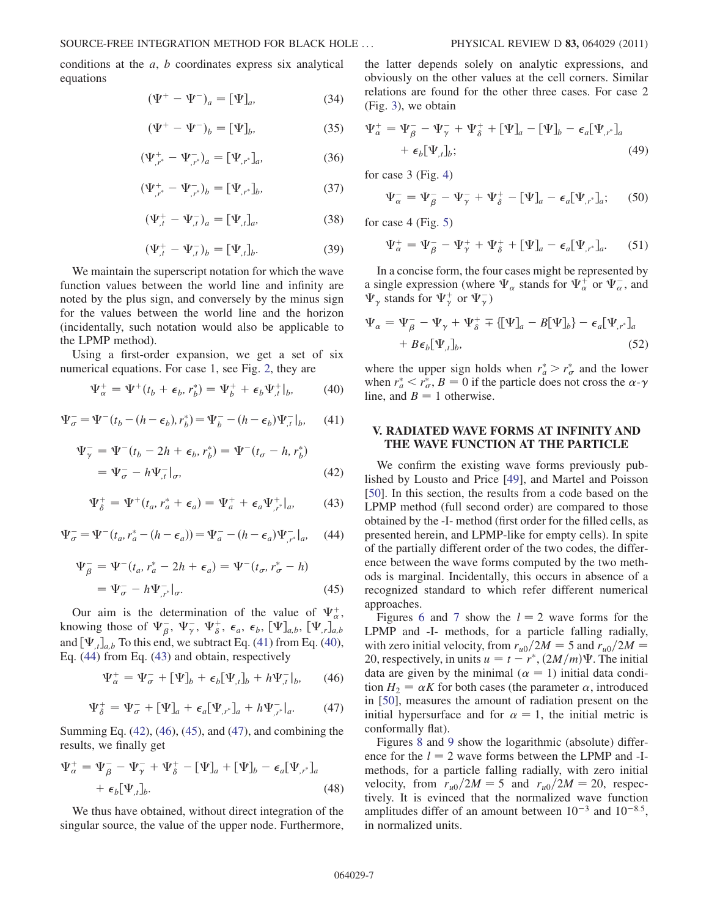conditions at the  $a, b$  coordinates express six analytical equations

$$
(\Psi^+ - \Psi^-)_a = [\Psi]_a,\tag{34}
$$

$$
(\Psi^+ - \Psi^-)_b = [\Psi]_b, \tag{35}
$$

$$
(\Psi^+_{,r^*} - \Psi^-_{,r^*})_a = [\Psi_{,r^*}]_a, \tag{36}
$$

$$
(\Psi_{,r^*}^+ - \Psi_{,r^*}^-)_b = [\Psi_{,r^*}]_b, \tag{37}
$$

$$
(\Psi_{,t}^{+} - \Psi_{,t}^{-})_{a} = [\Psi_{,t}]_{a}, \qquad (38)
$$

$$
(\Psi_{,t}^{+} - \Psi_{,t}^{-})_{b} = [\Psi_{,t}]_{b}.
$$
 (39)

We maintain the superscript notation for which the wave function values between the world line and infinity are noted by the plus sign, and conversely by the minus sign for the values between the world line and the horizon (incidentally, such notation would also be applicable to the LPMP method).

<span id="page-6-1"></span>Using a first-order expansion, we get a set of six numerical equations. For case 1, see Fig. [2](#page-5-2), they are

$$
\Psi_{\alpha}^{+} = \Psi^{+}(t_b + \epsilon_b, r_b^{*}) = \Psi_b^{+} + \epsilon_b \Psi_{,t}^{+}|_b,
$$
 (40)

<span id="page-6-5"></span><span id="page-6-4"></span>
$$
\Psi_{\sigma}^{-} = \Psi^{-}(t_b - (h - \epsilon_b), r_b^{*}) = \Psi_b^{-} - (h - \epsilon_b)\Psi_{,t}^{-}|_b,
$$
 (41)

$$
\Psi_{\gamma}^{-} = \Psi^{-}(t_b - 2h + \epsilon_b, r_b^*) = \Psi^{-}(t_{\sigma} - h, r_b^*)
$$

$$
= \Psi_{\sigma}^{-} - h\Psi_{,t}^{-}|_{\sigma}, \tag{42}
$$

<span id="page-6-3"></span>
$$
\Psi_{\delta}^{+} = \Psi^{+}(t_a, r_a^* + \epsilon_a) = \Psi_a^{+} + \epsilon_a \Psi_{,r^*}^{+}|_a,
$$
 (43)

<span id="page-6-7"></span>
$$
\Psi_{\sigma}^- = \Psi^-(t_a, r_a^* - (h - \epsilon_a)) = \Psi_a^- - (h - \epsilon_a)\Psi_{,r^*}^-|_a, \quad (44)
$$

$$
\Psi_{\beta}^{-} = \Psi^{-}(t_{a}, r_{a}^{*} - 2h + \epsilon_{a}) = \Psi^{-}(t_{\sigma}, r_{\sigma}^{*} - h)
$$

$$
= \Psi_{\sigma}^{-} - h\Psi_{,r^{*}}^{-}|_{\sigma}.
$$
(45)

<span id="page-6-2"></span>Our aim is the determination of the value of  $\Psi^+_{\alpha}$ , knowing those of  $\Psi_{\beta}^-, \Psi_{\gamma}^-, \Psi_{\delta}^+, \epsilon_a, \epsilon_b, [\Psi_{a,b}, [\Psi_{r}]_{a,b}]$ and  $[\Psi_t]_{a,b}$  To this end, we subtract Eq. [\(41](#page-6-1)) from Eq. ([40\)](#page-6-2), Eq. ([44](#page-6-3)) from Eq. ([43](#page-6-4)) and obtain, respectively

<span id="page-6-8"></span>
$$
\Psi_{\alpha}^{+} = \Psi_{\sigma}^{-} + [\Psi]_{b} + \epsilon_{b} [\Psi_{,t}]_{b} + h \Psi_{,t}^{-} \vert_{b}, \qquad (46)
$$

$$
\Psi_{\delta}^{+} = \Psi_{\sigma}^{-} + [\Psi]_{a} + \epsilon_{a} [\Psi_{,r^{*}}]_{a} + h \Psi_{,r^{*}}^{-} \vert_{a}.
$$
 (47)

<span id="page-6-6"></span>Summing Eq. [\(42\)](#page-6-5), ([46](#page-6-6)), [\(45\)](#page-6-7), and [\(47\)](#page-6-8), and combining the results, we finally get

$$
\Psi_{\alpha}^{+} = \Psi_{\beta}^{-} - \Psi_{\gamma}^{-} + \Psi_{\delta}^{+} - [\Psi]_{a} + [\Psi]_{b} - \epsilon_{a} [\Psi_{,r^{*}}]_{a}
$$

$$
+ \epsilon_{b} [\Psi_{,t}]_{b}.
$$
\n(48)

We thus have obtained, without direct integration of the singular source, the value of the upper node. Furthermore, the latter depends solely on analytic expressions, and obviously on the other values at the cell corners. Similar relations are found for the other three cases. For case 2 (Fig. [3](#page-5-4)), we obtain

$$
\Psi_{\alpha}^{+} = \Psi_{\beta}^{-} - \Psi_{\gamma}^{-} + \Psi_{\delta}^{+} + [\Psi]_{a} - [\Psi]_{b} - \epsilon_{a} [\Psi_{,r^{*}}]_{a}
$$

$$
+ \epsilon_{b} [\Psi_{,t}]_{b};
$$
(49)

for case 3 (Fig. [4\)](#page-5-5)

$$
\Psi_{\alpha}^{-} = \Psi_{\beta}^{-} - \Psi_{\gamma}^{-} + \Psi_{\delta}^{+} - [\Psi]_{a} - \epsilon_{a} [\Psi_{,r^{*}}]_{a}; \quad (50)
$$

for case 4 (Fig. [5\)](#page-5-3)

$$
\Psi_{\alpha}^{+} = \Psi_{\beta}^{-} - \Psi_{\gamma}^{+} + \Psi_{\delta}^{+} + [\Psi]_{a} - \epsilon_{a}[\Psi_{,r^{*}}]_{a}.
$$
 (51)

In a concise form, the four cases might be represented by a single expression (where  $\Psi_{\alpha}$  stands for  $\Psi_{\alpha}^{+}$  or  $\Psi_{\alpha}^{-}$ , and  $\Psi_{\gamma}$  stands for  $\Psi_{\gamma}^{+}$  or  $\Psi_{\gamma}^{-}$ )

$$
\Psi_{\alpha} = \Psi_{\beta} - \Psi_{\gamma} + \Psi_{\delta}^{+} \mp \{ [\Psi]_{a} - B[\Psi]_{b} \} - \epsilon_{a} [\Psi_{,r^{*}}]_{a}
$$

$$
+ B \epsilon_{b} [\Psi_{,t}]_{b}, \tag{52}
$$

where the upper sign holds when  $r_a^* > r_\sigma^*$  and the lower when  $r_a^* \leq r_b^*$ ,  $B = 0$  if the particle does not cross the  $\alpha$ - $\gamma$  line, and  $B = 1$  otherwise line, and  $B = 1$  otherwise.

# <span id="page-6-0"></span>V. RADIATED WAVE FORMS AT INFINITY AND THE WAVE FUNCTION AT THE PARTICLE

We confirm the existing wave forms previously published by Lousto and Price [\[49\]](#page-10-12), and Martel and Poisson [\[50\]](#page-10-13). In this section, the results from a code based on the LPMP method (full second order) are compared to those obtained by the -I- method (first order for the filled cells, as presented herein, and LPMP-like for empty cells). In spite of the partially different order of the two codes, the difference between the wave forms computed by the two methods is marginal. Incidentally, this occurs in absence of a recognized standard to which refer different numerical approaches.

Figures [6](#page-7-0) and [7](#page-7-1) show the  $l = 2$  wave forms for the LPMP and -I- methods, for a particle falling radially, with zero initial velocity, from  $r_{u0}/2M = 5$  and  $r_{u0}/2M =$ 20, respectively, in units  $u = t - r^*$ ,  $(2M/m)\Psi$ . The initial data are given by the minimal  $(\alpha = 1)$  initial data condidata are given by the minimal ( $\alpha = 1$ ) initial data condition  $H_2 = \alpha K$  for both cases (the parameter  $\alpha$ , introduced in [\[50\]](#page-10-13), measures the amount of radiation present on the initial hypersurface and for  $\alpha = 1$ , the initial metric is conformally flat).

Figures [8](#page-7-2) and [9](#page-7-3) show the logarithmic (absolute) difference for the  $l = 2$  wave forms between the LPMP and -Imethods, for a particle falling radially, with zero initial velocity, from  $r_{u0}/2M = 5$  and  $r_{u0}/2M = 20$ , respectively. It is evinced that the normalized wave function amplitudes differ of an amount between  $10^{-3}$  and  $10^{-8.5}$ , in normalized units.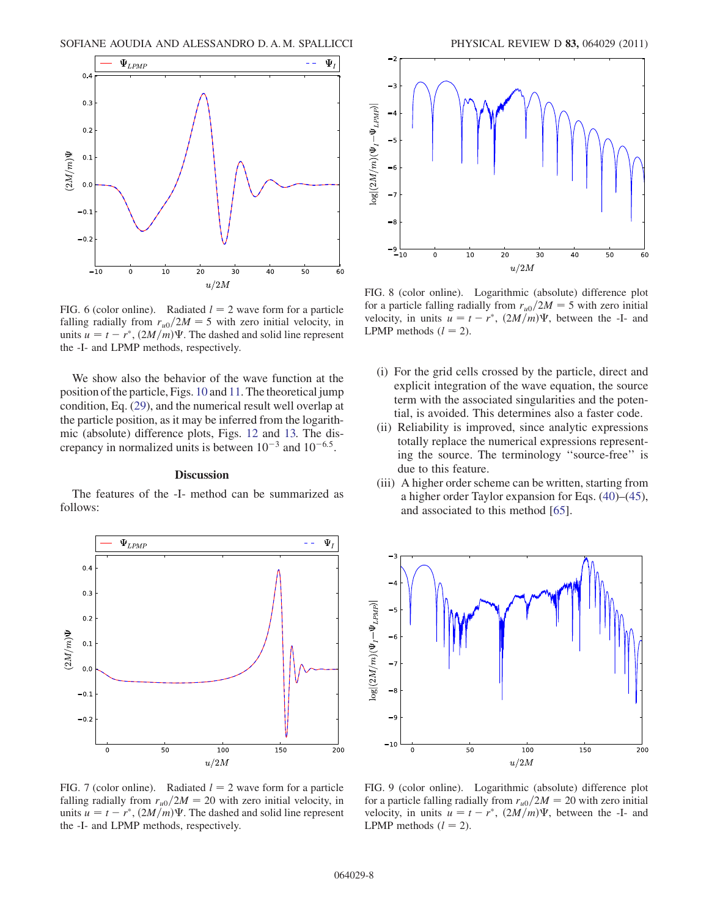<span id="page-7-0"></span>

FIG. 6 (color online). Radiated  $l = 2$  wave form for a particle falling radially from  $r_{u0}/2M = 5$  with zero initial velocity, in units  $u = t - r^*$ ,  $(2M/m)\Psi$ . The dashed and solid line represent<br>the -I- and I PMP methods, respectively the -I- and LPMP methods, respectively.

We show also the behavior of the wave function at the position of the particle, Figs. [10](#page-8-0) and [11](#page-8-1). The theoretical jump condition, Eq. ([29](#page-4-10)), and the numerical result well overlap at the particle position, as it may be inferred from the logarithmic (absolute) difference plots, Figs. [12](#page-8-2) and [13.](#page-8-3) The discrepancy in normalized units is between  $10^{-3}$  and  $10^{-6.5}$ .

#### **Discussion**

The features of the -I- method can be summarized as follows:

<span id="page-7-1"></span>

FIG. 7 (color online). Radiated  $l = 2$  wave form for a particle falling radially from  $r_{u0}/2M = 20$  with zero initial velocity, in units  $u = t - r^*$ ,  $(2M/m)\Psi$ . The dashed and solid line represent<br>the -I- and I PMP methods, respectively the -I- and LPMP methods, respectively.

<span id="page-7-2"></span>

FIG. 8 (color online). Logarithmic (absolute) difference plot for a particle falling radially from  $r_{u0}/2M = 5$  with zero initial velocity, in units  $u = t - r^*$ ,  $(2M/m)\Psi$ , between the -I- and I PMP methods  $(l = 2)$ LPMP methods  $(l = 2)$ .

- (i) For the grid cells crossed by the particle, direct and explicit integration of the wave equation, the source term with the associated singularities and the potential, is avoided. This determines also a faster code.
- (ii) Reliability is improved, since analytic expressions totally replace the numerical expressions representing the source. The terminology ''source-free'' is due to this feature.
- (iii) A higher order scheme can be written, starting from a higher order Taylor expansion for Eqs. ([40](#page-6-2))–([45\)](#page-6-7), and associated to this method [\[65\]](#page-10-27).

<span id="page-7-3"></span>

FIG. 9 (color online). Logarithmic (absolute) difference plot for a particle falling radially from  $r_{u0}/2M = 20$  with zero initial velocity, in units  $u = t - r^*$ ,  $(2M/m)\Psi$ , between the -I- and I PMP methods  $(l = 2)$ LPMP methods  $(l = 2)$ .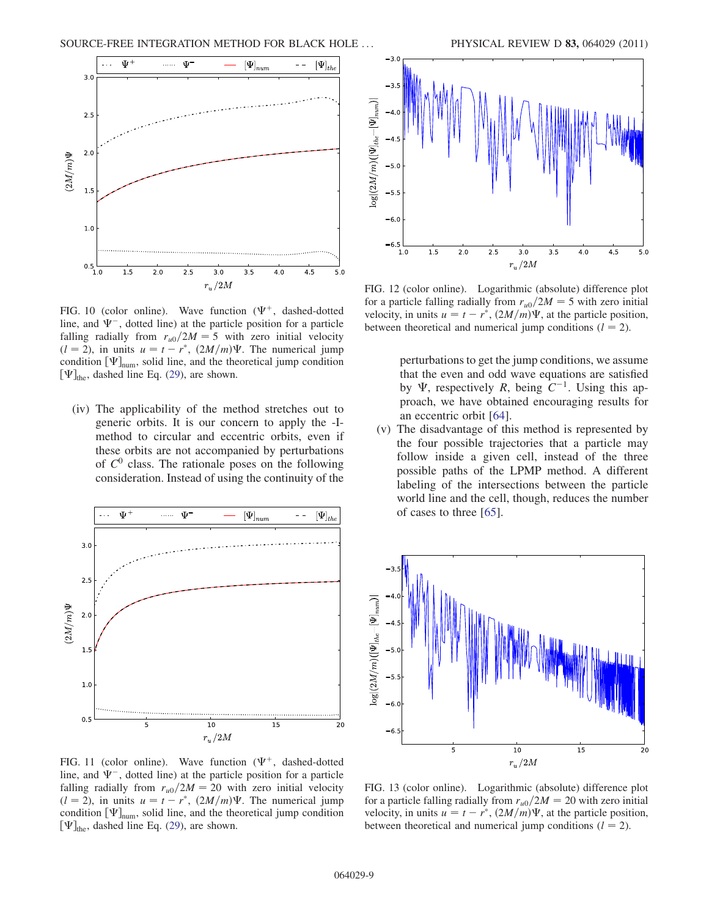<span id="page-8-0"></span>

FIG. 10 (color online). Wave function  $(\Psi^+$ , dashed-dotted line, and  $\Psi^-$ , dotted line) at the particle position for a particle falling radially from  $r_{u0}/2M = 5$  with zero initial velocity  $(l = 2)$ , in units  $u = t - r^*$ ,  $(2M/m)\Psi$ . The numerical jump<br>condition  $[\Psi]$  solid line, and the theoretical jump condition condition  $[\Psi]_{num}$ , solid line, and the theoretical jump condition  $[\Psi]_{\text{the}}$ , dashed line Eq. [\(29\)](#page-4-10), are shown.

(iv) The applicability of the method stretches out to generic orbits. It is our concern to apply the -Imethod to circular and eccentric orbits, even if these orbits are not accompanied by perturbations of  $C^0$  class. The rationale poses on the following consideration. Instead of using the continuity of the

<span id="page-8-1"></span>

FIG. 11 (color online). Wave function  $(\Psi^+$ , dashed-dotted line, and  $\Psi^-$ , dotted line) at the particle position for a particle falling radially from  $r_{u0}/2M = 20$  with zero initial velocity  $(l = 2)$ , in units  $u = t - r^*$ ,  $(2M/m)\Psi$ . The numerical jump<br>condition  $[\Psi]$  solid line, and the theoretical jump condition condition  $[\Psi]_{num}$ , solid line, and the theoretical jump condition  $[\Psi]_{\text{the}}$ , dashed line Eq. [\(29\)](#page-4-10), are shown.

<span id="page-8-2"></span>

FIG. 12 (color online). Logarithmic (absolute) difference plot for a particle falling radially from  $r_{u0}/2M = 5$  with zero initial velocity, in units  $u = t - r^*$ ,  $(2M/m)\Psi$ , at the particle position,<br>between theoretical and numerical jump conditions  $(l = 2)$ between theoretical and numerical jump conditions  $(l = 2)$ .

perturbations to get the jump conditions, we assume that the even and odd wave equations are satisfied by  $\Psi$ , respectively R, being  $C^{-1}$ . Using this approach, we have obtained encouraging results for an eccentric orbit [[64](#page-10-26)].

(v) The disadvantage of this method is represented by the four possible trajectories that a particle may follow inside a given cell, instead of the three possible paths of the LPMP method. A different labeling of the intersections between the particle world line and the cell, though, reduces the number of cases to three [\[65\]](#page-10-27).

<span id="page-8-3"></span>

FIG. 13 (color online). Logarithmic (absolute) difference plot for a particle falling radially from  $r_{u0}/2M = 20$  with zero initial velocity, in units  $u = t - r^*$ ,  $(2M/m)\Psi$ , at the particle position,<br>between theoretical and numerical iumn conditions  $(l = 2)$ between theoretical and numerical jump conditions  $(l = 2)$ .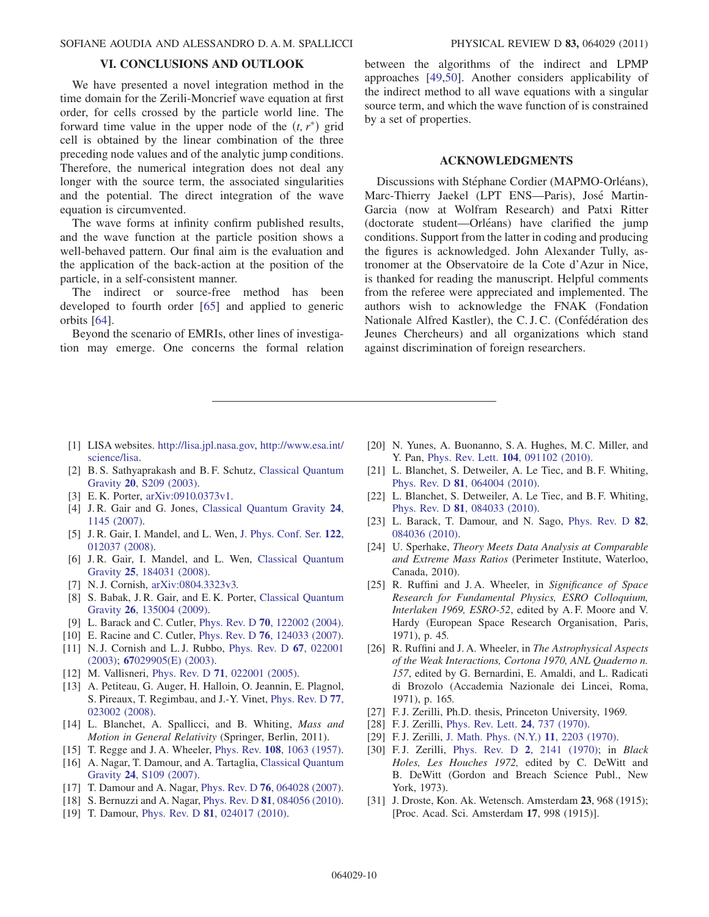# VI. CONCLUSIONS AND OUTLOOK

<span id="page-9-23"></span>We have presented a novel integration method in the time domain for the Zerili-Moncrief wave equation at first order, for cells crossed by the particle world line. The forward time value in the upper node of the  $(t, r^*)$  grid cell is obtained by the linear combination of the three preceding node values and of the analytic jump conditions. Therefore, the numerical integration does not deal any longer with the source term, the associated singularities and the potential. The direct integration of the wave equation is circumvented.

The wave forms at infinity confirm published results, and the wave function at the particle position shows a well-behaved pattern. Our final aim is the evaluation and the application of the back-action at the position of the particle, in a self-consistent manner.

The indirect or source-free method has been developed to fourth order [[65](#page-10-27)] and applied to generic orbits [\[64\]](#page-10-26).

Beyond the scenario of EMRIs, other lines of investigation may emerge. One concerns the formal relation between the algorithms of the indirect and LPMP approaches [[49,](#page-10-12)[50](#page-10-13)]. Another considers applicability of the indirect method to all wave equations with a singular source term, and which the wave function of is constrained by a set of properties.

#### ACKNOWLEDGMENTS

Discussions with Stéphane Cordier (MAPMO-Orléans), Marc-Thierry Jaekel (LPT ENS—Paris), José Martin-Garcia (now at Wolfram Research) and Patxi Ritter (doctorate student-Orléans) have clarified the jump conditions. Support from the latter in coding and producing the figures is acknowledged. John Alexander Tully, astronomer at the Observatoire de la Cote d'Azur in Nice, is thanked for reading the manuscript. Helpful comments from the referee were appreciated and implemented. The authors wish to acknowledge the FNAK (Fondation Nationale Alfred Kastler), the C.J.C. (Confédération des Jeunes Chercheurs) and all organizations which stand against discrimination of foreign researchers.

- <span id="page-9-1"></span><span id="page-9-0"></span>[1] LISA websites. [http://lisa.jpl.nasa.gov,](http://lisa.jpl.nasa.gov) [http://www.esa.int/](http://www.esa.int/science/lisa) [science/lisa.](http://www.esa.int/science/lisa)
- <span id="page-9-2"></span>[2] B. S. Sathyaprakash and B. F. Schutz, [Classical Quantum](http://dx.doi.org/10.1088/0264-9381/20/10/324) Gravity 20[, S209 \(2003\)](http://dx.doi.org/10.1088/0264-9381/20/10/324).
- <span id="page-9-3"></span>[3] E.K. Porter, [arXiv:0910.0373v1](http://arXiv.org/abs/0910.0373v1).
- [4] J. R. Gair and G. Jones, [Classical Quantum Gravity](http://dx.doi.org/10.1088/0264-9381/24/5/007) 24, [1145 \(2007\)](http://dx.doi.org/10.1088/0264-9381/24/5/007).
- [5] J. R. Gair, I. Mandel, and L. Wen, [J. Phys. Conf. Ser.](http://dx.doi.org/10.1088/1742-6596/122/1/012037) 122, [012037 \(2008\)](http://dx.doi.org/10.1088/1742-6596/122/1/012037).
- [6] J. R. Gair, I. Mandel, and L. Wen, [Classical Quantum](http://dx.doi.org/10.1088/0264-9381/25/18/184031) Gravity 25[, 184031 \(2008\)](http://dx.doi.org/10.1088/0264-9381/25/18/184031).
- <span id="page-9-4"></span>[7] N. J. Cornish, [arXiv:0804.3323v3.](http://arXiv.org/abs/0804.3323v3)
- <span id="page-9-5"></span>[8] S. Babak, J. R. Gair, and E. K. Porter, [Classical Quantum](http://dx.doi.org/10.1088/0264-9381/26/13/135004) Gravity 26[, 135004 \(2009\)](http://dx.doi.org/10.1088/0264-9381/26/13/135004).
- <span id="page-9-6"></span>[9] L. Barack and C. Cutler, Phys. Rev. D 70[, 122002 \(2004\).](http://dx.doi.org/10.1103/PhysRevD.70.122002)
- <span id="page-9-7"></span>[10] E. Racine and C. Cutler, *Phys. Rev. D* **76**[, 124033 \(2007\).](http://dx.doi.org/10.1103/PhysRevD.76.124033)
- [11] N.J. Cornish and L.J. Rubbo, *[Phys. Rev. D](http://dx.doi.org/10.1103/PhysRevD.67.022001)* 67, 022001 [\(2003\)](http://dx.doi.org/10.1103/PhysRevD.67.022001); 67[029905\(E\) \(2003\).](http://dx.doi.org/10.1103/PhysRevD.67.029905)
- <span id="page-9-8"></span>[12] M. Vallisneri, Phys. Rev. D **71**[, 022001 \(2005\)](http://dx.doi.org/10.1103/PhysRevD.71.022001).
- [13] A. Petiteau, G. Auger, H. Halloin, O. Jeannin, E. Plagnol, S. Pireaux, T. Regimbau, and J.-Y. Vinet, [Phys. Rev. D](http://dx.doi.org/10.1103/PhysRevD.77.023002) 77, [023002 \(2008\)](http://dx.doi.org/10.1103/PhysRevD.77.023002).
- <span id="page-9-10"></span><span id="page-9-9"></span>[14] L. Blanchet, A. Spallicci, and B. Whiting, Mass and Motion in General Relativity (Springer, Berlin, 2011).
- <span id="page-9-11"></span>[15] T. Regge and J. A. Wheeler, *Phys. Rev.* **108**[, 1063 \(1957\).](http://dx.doi.org/10.1103/PhysRev.108.1063)
- [16] A. Nagar, T. Damour, and A. Tartaglia, [Classical Quantum](http://dx.doi.org/10.1088/0264-9381/24/12/S08) Gravity 24[, S109 \(2007\)](http://dx.doi.org/10.1088/0264-9381/24/12/S08).
- [17] T. Damour and A. Nagar, Phys. Rev. D **76**[, 064028 \(2007\).](http://dx.doi.org/10.1103/PhysRevD.76.064028)
- <span id="page-9-12"></span>[18] S. Bernuzzi and A. Nagar, *Phys. Rev. D* **81**[, 084056 \(2010\).](http://dx.doi.org/10.1103/PhysRevD.81.084056)
- [19] T. Damour, Phys. Rev. D **81**[, 024017 \(2010\).](http://dx.doi.org/10.1103/PhysRevD.81.024017)
- <span id="page-9-14"></span><span id="page-9-13"></span>[20] N. Yunes, A. Buonanno, S. A. Hughes, M. C. Miller, and Y. Pan, Phys. Rev. Lett. 104[, 091102 \(2010\)](http://dx.doi.org/10.1103/PhysRevLett.104.091102).
- <span id="page-9-15"></span>[21] L. Blanchet, S. Detweiler, A. Le Tiec, and B. F. Whiting, Phys. Rev. D 81[, 064004 \(2010\).](http://dx.doi.org/10.1103/PhysRevD.81.064004)
- <span id="page-9-16"></span>[22] L. Blanchet, S. Detweiler, A. Le Tiec, and B. F. Whiting, Phys. Rev. D 81[, 084033 \(2010\).](http://dx.doi.org/10.1103/PhysRevD.81.084033)
- <span id="page-9-17"></span>[23] L. Barack, T. Damour, and N. Sago, [Phys. Rev. D](http://dx.doi.org/10.1103/PhysRevD.82.084036) 82, [084036 \(2010\).](http://dx.doi.org/10.1103/PhysRevD.82.084036)
- [24] U. Sperhake, Theory Meets Data Analysis at Comparable and Extreme Mass Ratios (Perimeter Institute, Waterloo, Canada, 2010).
- <span id="page-9-18"></span>[25] R. Ruffini and J.A. Wheeler, in Significance of Space Research for Fundamental Physics, ESRO Colloquium, Interlaken 1969, ESRO-52, edited by A. F. Moore and V. Hardy (European Space Research Organisation, Paris, 1971), p. 45.
- <span id="page-9-19"></span>[26] R. Ruffini and J. A. Wheeler, in The Astrophysical Aspects of the Weak Interactions, Cortona 1970, ANL Quaderno n. 157, edited by G. Bernardini, E. Amaldi, and L. Radicati di Brozolo (Accademia Nazionale dei Lincei, Roma, 1971), p. 165.
- <span id="page-9-25"></span><span id="page-9-20"></span>[27] F.J. Zerilli, Ph.D. thesis, Princeton University, 1969.
- <span id="page-9-24"></span>[28] F.J. Zerilli, *[Phys. Rev. Lett.](http://dx.doi.org/10.1103/PhysRevLett.24.737)* **24**, 737 (1970).
- <span id="page-9-21"></span>[29] F.J. Zerilli, [J. Math. Phys. \(N.Y.\)](http://dx.doi.org/10.1063/1.1665380) 11, 2203 (1970).
- [30] F.J. Zerilli, Phys. Rev. D 2[, 2141 \(1970\);](http://dx.doi.org/10.1103/PhysRevD.2.2141) in Black Holes, Les Houches 1972, edited by C. DeWitt and B. DeWitt (Gordon and Breach Science Publ., New York, 1973).
- <span id="page-9-22"></span>[31] J. Droste, Kon. Ak. Wetensch. Amsterdam 23, 968 (1915); [Proc. Acad. Sci. Amsterdam 17, 998 (1915)].